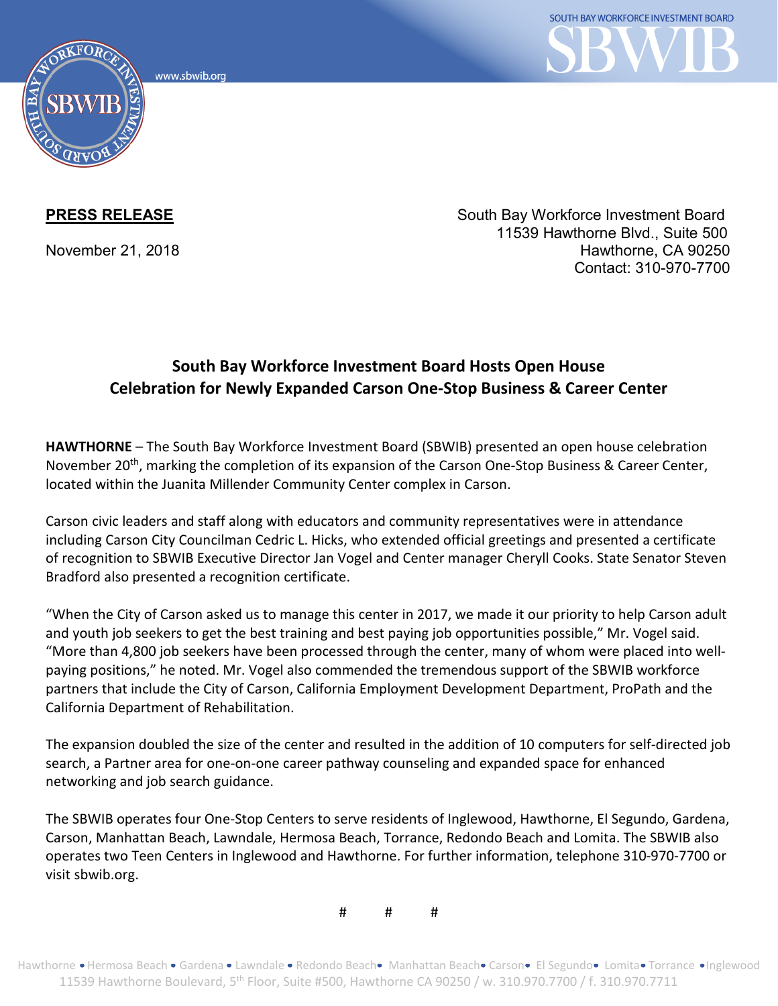www.sbwib.orc



**PRESS RELEASE** South Bay Workforce Investment Board 11539 Hawthorne Blvd., Suite 500 November 21, 2018 **Hawthorne, CA 90250** Contact: 310-970-7700

## **South Bay Workforce Investment Board Hosts Open House Celebration for Newly Expanded Carson One-Stop Business & Career Center**

**HAWTHORNE** – The South Bay Workforce Investment Board (SBWIB) presented an open house celebration November 20th, marking the completion of its expansion of the Carson One-Stop Business & Career Center, located within the Juanita Millender Community Center complex in Carson.

Carson civic leaders and staff along with educators and community representatives were in attendance including Carson City Councilman Cedric L. Hicks, who extended official greetings and presented a certificate of recognition to SBWIB Executive Director Jan Vogel and Center manager Cheryll Cooks. State Senator Steven Bradford also presented a recognition certificate.

"When the City of Carson asked us to manage this center in 2017, we made it our priority to help Carson adult and youth job seekers to get the best training and best paying job opportunities possible," Mr. Vogel said. "More than 4,800 job seekers have been processed through the center, many of whom were placed into wellpaying positions," he noted. Mr. Vogel also commended the tremendous support of the SBWIB workforce partners that include the City of Carson, California Employment Development Department, ProPath and the California Department of Rehabilitation.

The expansion doubled the size of the center and resulted in the addition of 10 computers for self-directed job search, a Partner area for one-on-one career pathway counseling and expanded space for enhanced networking and job search guidance.

The SBWIB operates four One-Stop Centers to serve residents of Inglewood, Hawthorne, El Segundo, Gardena, Carson, Manhattan Beach, Lawndale, Hermosa Beach, Torrance, Redondo Beach and Lomita. The SBWIB also operates two Teen Centers in Inglewood and Hawthorne. For further information, telephone 310-970-7700 or visit sbwib.org.

# # #